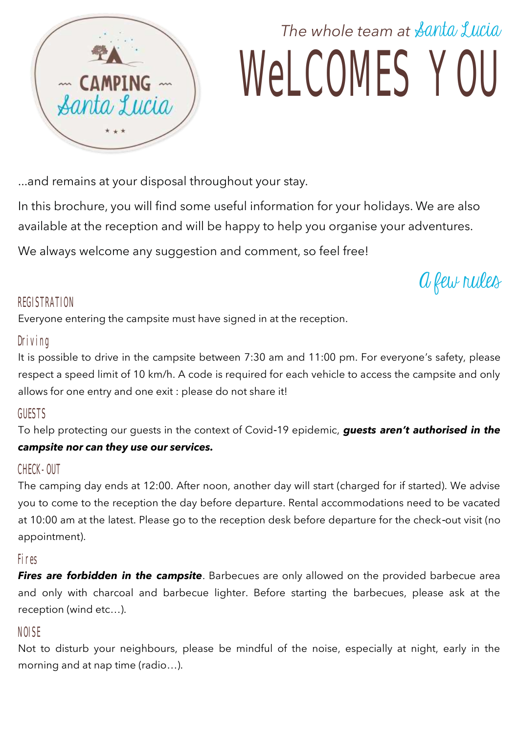

# *The whole team at* Santa Lucia WeLCOMES YOU

...and remains at your disposal throughout your stay.

In this brochure, you will find some useful information for your holidays. We are also available at the reception and will be happy to help you organise your adventures.

We always welcome any suggestion and comment, so feel free!

A few rules

#### REGISTRATION

Everyone entering the campsite must have signed in at the reception.

#### Driving

It is possible to drive in the campsite between 7:30 am and 11:00 pm. For everyone's safety, please respect a speed limit of 10 km/h. A code is required for each vehicle to access the campsite and only allows for one entry and one exit : please do not share it!

### GUESTS

To help protecting our guests in the context of Covid-19 epidemic, *guests aren't authorised in the campsite nor can they use our services.* 

### CHECK-OUT

The camping day ends at 12:00. After noon, another day will start (charged for if started). We advise you to come to the reception the day before departure. Rental accommodations need to be vacated at 10:00 am at the latest. Please go to the reception desk before departure for the check-out visit (no appointment).

#### Fires

**Fires are forbidden in the campsite**. Barbecues are only allowed on the provided barbecue area and only with charcoal and barbecue lighter. Before starting the barbecues, please ask at the reception (wind etc…).

### NOISE

Not to disturb your neighbours, please be mindful of the noise, especially at night, early in the morning and at nap time (radio…).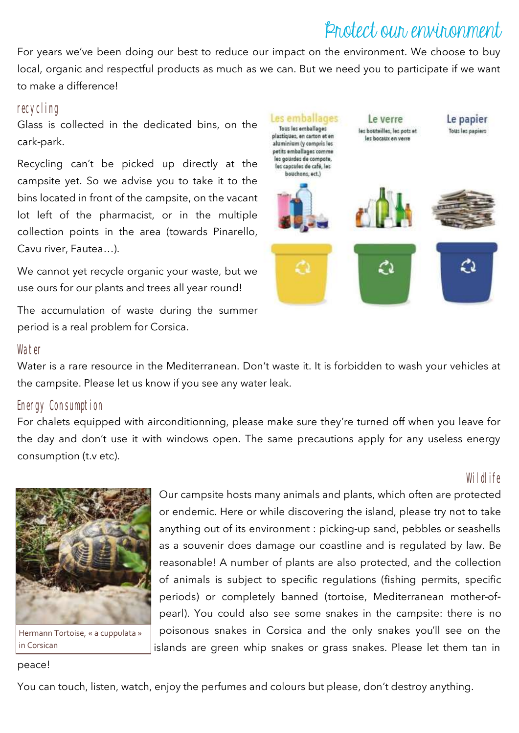### Protect our environment

For years we've been doing our best to reduce our impact on the environment. We choose to buy local, organic and respectful products as much as we can. But we need you to participate if we want to make a difference!

#### recycling

Glass is collected in the dedicated bins, on the cark-park.

Recycling can't be picked up directly at the campsite yet. So we advise you to take it to the bins located in front of the campsite, on the vacant lot left of the pharmacist, or in the multiple collection points in the area (towards Pinarello, Cavu river, Fautea…).

We cannot yet recycle organic your waste, but we use ours for our plants and trees all year round!

The accumulation of waste during the summer period is a real problem for Corsica.

#### **Water**

Water is a rare resource in the Mediterranean. Don't waste it. It is forbidden to wash your vehicles at the campsite. Please let us know if you see any water leak.

#### Energy Consumption

For chalets equipped with airconditionning, please make sure they're turned off when you leave for the day and don't use it with windows open. The same precautions apply for any useless energy consumption (t.v etc).

Hermann Tortoise, « a cuppulata » in Corsican

Wildlife Our campsite hosts many animals and plants, which often are protected or endemic. Here or while discovering the island, please try not to take anything out of its environment : picking-up sand, pebbles or seashells as a souvenir does damage our coastline and is regulated by law. Be reasonable! A number of plants are also protected, and the collection of animals is subject to specific regulations (fishing permits, specific periods) or completely banned (tortoise, Mediterranean mother-ofpearl). You could also see some snakes in the campsite: there is no poisonous snakes in Corsica and the only snakes you'll see on the islands are green whip snakes or grass snakes. Please let them tan in

#### peace!

You can touch, listen, watch, enjoy the perfumes and colours but please, don't destroy anything.

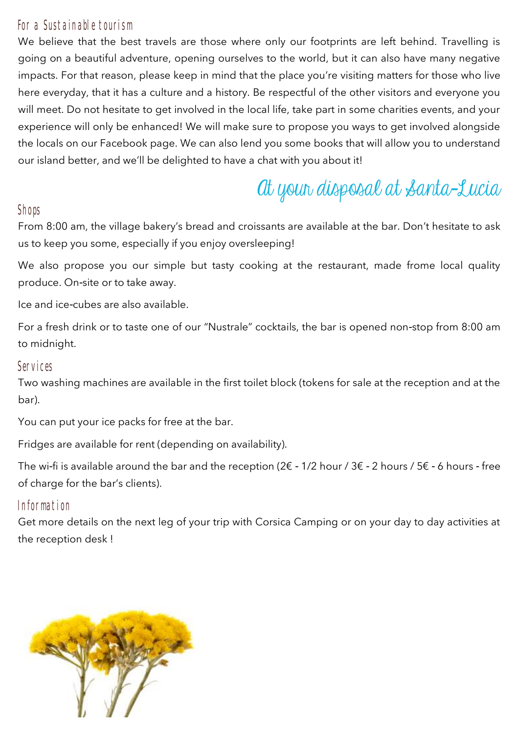#### For a Sustainable tourism

We believe that the best travels are those where only our footprints are left behind. Travelling is going on a beautiful adventure, opening ourselves to the world, but it can also have many negative impacts. For that reason, please keep in mind that the place you're visiting matters for those who live here everyday, that it has a culture and a history. Be respectful of the other visitors and everyone you will meet. Do not hesitate to get involved in the local life, take part in some charities events, and your experience will only be enhanced! We will make sure to propose you ways to get involved alongside the locals on our Facebook page. We can also lend you some books that will allow you to understand our island better, and we'll be delighted to have a chat with you about it!

## At your disposal at Santa-Lucia

#### Shops

From 8:00 am, the village bakery's bread and croissants are available at the bar. Don't hesitate to ask us to keep you some, especially if you enjoy oversleeping!

We also propose you our simple but tasty cooking at the restaurant, made frome local quality produce. On-site or to take away.

Ice and ice-cubes are also available.

For a fresh drink or to taste one of our "Nustrale" cocktails, the bar is opened non-stop from 8:00 am to midnight.

#### Services

Two washing machines are available in the first toilet block (tokens for sale at the reception and at the bar).

You can put your ice packs for free at the bar.

Fridges are available for rent (depending on availability).

The wi-fi is available around the bar and the reception ( $2 \epsilon$  -  $1/2$  hour /  $3 \epsilon$  -  $2$  hours /  $5 \epsilon$  -  $6$  hours - free of charge for the bar's clients).

#### Information

Get more details on the next leg of your trip with Corsica Camping or on your day to day activities at the reception desk !

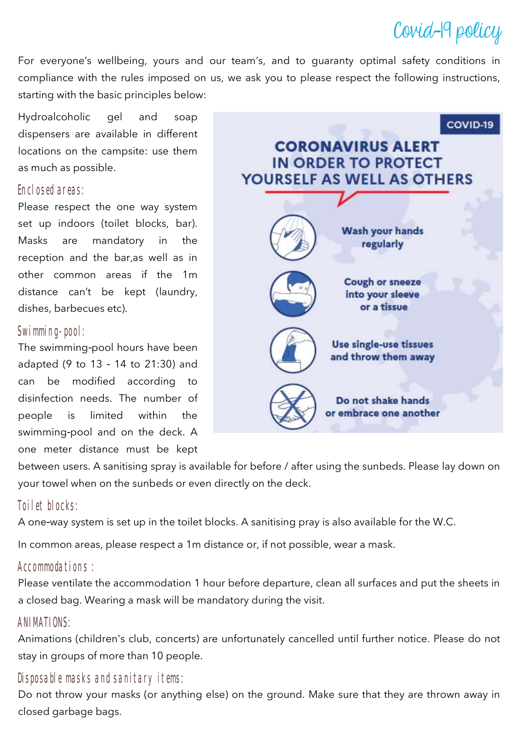### Covid-19 policy

For everyone's wellbeing, yours and our team's, and to guaranty optimal safety conditions in compliance with the rules imposed on us, we ask you to please respect the following instructions, starting with the basic principles below:

Hydroalcoholic gel and soap dispensers are available in different locations on the campsite: use them as much as possible.

#### Enclosed areas:

Please respect the one way system set up indoors (toilet blocks, bar). Masks are mandatory in the reception and the bar,as well as in other common areas if the 1m distance can't be kept (laundry, dishes, barbecues etc).

#### Swimming-pool:

The swimming-pool hours have been adapted (9 to 13 - 14 to 21:30) and can be modified according to disinfection needs. The number of people is limited within the swimming-pool and on the deck. A one meter distance must be kept



between users. A sanitising spray is available for before / after using the sunbeds. Please lay down on your towel when on the sunbeds or even directly on the deck.

### Toilet blocks:

A one-way system is set up in the toilet blocks. A sanitising pray is also available for the W.C.

In common areas, please respect a 1m distance or, if not possible, wear a mask.

#### Accommodations :

Please ventilate the accommodation 1 hour before departure, clean all surfaces and put the sheets in a closed bag. Wearing a mask will be mandatory during the visit.

#### ANIMATIONS:

Animations (children's club, concerts) are unfortunately cancelled until further notice. Please do not stay in groups of more than 10 people.

### Disposable masks and sanitary items:

Do not throw your masks (or anything else) on the ground. Make sure that they are thrown away in closed garbage bags.